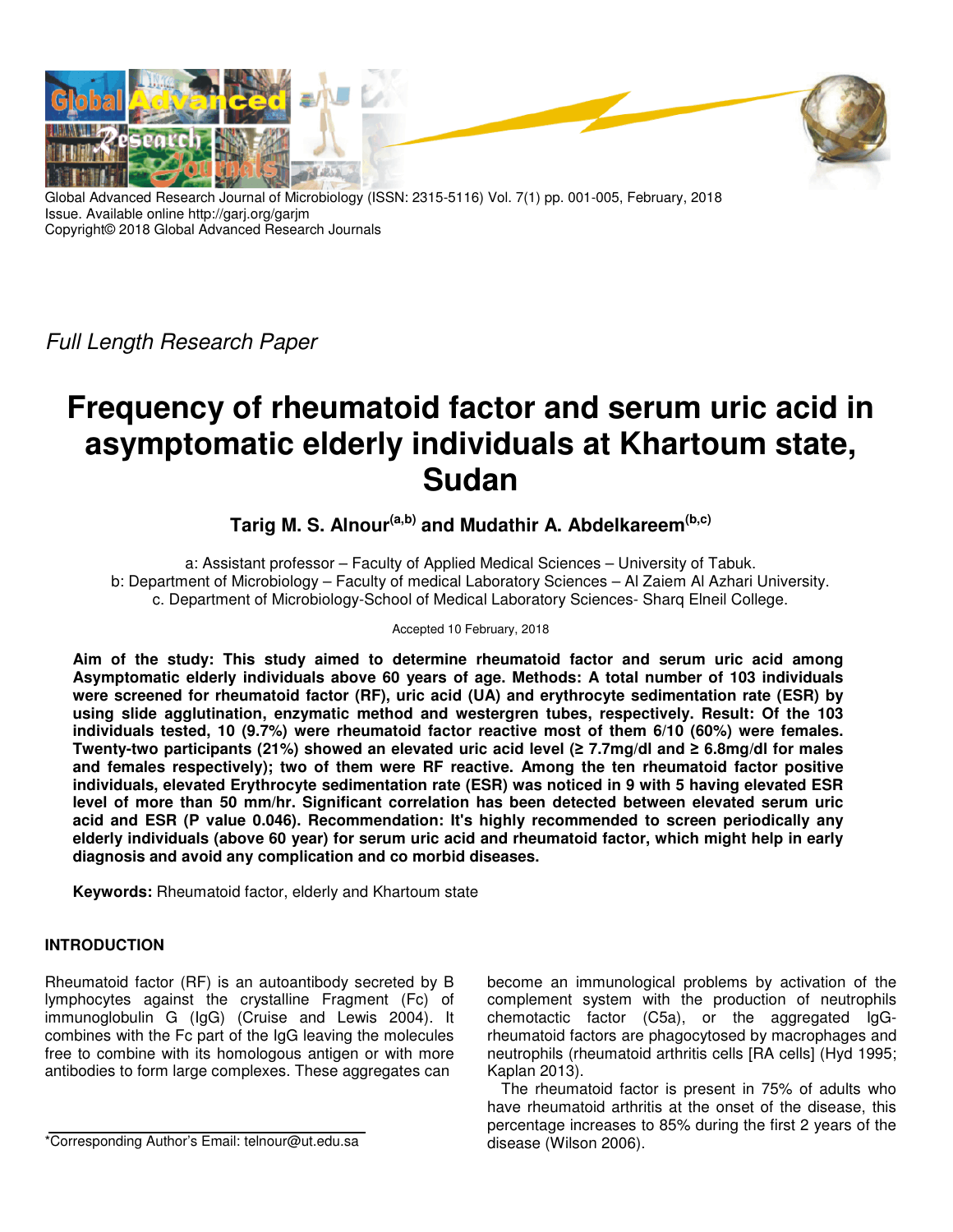

Global Advanced Research Journal of Microbiology (ISSN: 2315-5116) Vol. 7(1) pp. 001-005, February, 2018 Issue. Available online http://garj.org/garjm Copyright© 2018 Global Advanced Research Journals

Full Length Research Paper

# **Frequency of rheumatoid factor and serum uric acid in asymptomatic elderly individuals at Khartoum state, Sudan**

# **Tarig M. S. Alnour(a,b) and Mudathir A. Abdelkareem(b,c)**

a: Assistant professor – Faculty of Applied Medical Sciences – University of Tabuk. b: Department of Microbiology – Faculty of medical Laboratory Sciences – Al Zaiem Al Azhari University. c. Department of Microbiology-School of Medical Laboratory Sciences- Sharq Elneil College.

#### Accepted 10 February, 2018

**Aim of the study: This study aimed to determine rheumatoid factor and serum uric acid among Asymptomatic elderly individuals above 60 years of age. Methods: A total number of 103 individuals were screened for rheumatoid factor (RF), uric acid (UA) and erythrocyte sedimentation rate (ESR) by using slide agglutination, enzymatic method and westergren tubes, respectively. Result: Of the 103 individuals tested, 10 (9.7%) were rheumatoid factor reactive most of them 6/10 (60%) were females. Twenty-two participants (21%) showed an elevated uric acid level (≥ 7.7mg/dl and ≥ 6.8mg/dl for males and females respectively); two of them were RF reactive. Among the ten rheumatoid factor positive individuals, elevated Erythrocyte sedimentation rate (ESR) was noticed in 9 with 5 having elevated ESR level of more than 50 mm/hr. Significant correlation has been detected between elevated serum uric acid and ESR (P value 0.046). Recommendation: It's highly recommended to screen periodically any elderly individuals (above 60 year) for serum uric acid and rheumatoid factor, which might help in early diagnosis and avoid any complication and co morbid diseases.** 

**Keywords:** Rheumatoid factor, elderly and Khartoum state

# **INTRODUCTION**

Rheumatoid factor (RF) is an autoantibody secreted by B lymphocytes against the crystalline Fragment (Fc) of immunoglobulin G (IgG) (Cruise and Lewis 2004). It combines with the Fc part of the IgG leaving the molecules free to combine with its homologous antigen or with more antibodies to form large complexes. These aggregates can

become an immunological problems by activation of the complement system with the production of neutrophils chemotactic factor (C5a), or the aggregated IgGrheumatoid factors are phagocytosed by macrophages and neutrophils (rheumatoid arthritis cells [RA cells] (Hyd 1995; Kaplan 2013).

The rheumatoid factor is present in 75% of adults who have rheumatoid arthritis at the onset of the disease, this percentage increases to 85% during the first 2 years of the disease (Wilson 2006).

<sup>\*</sup>Corresponding Author's Email: telnour@ut.edu.sa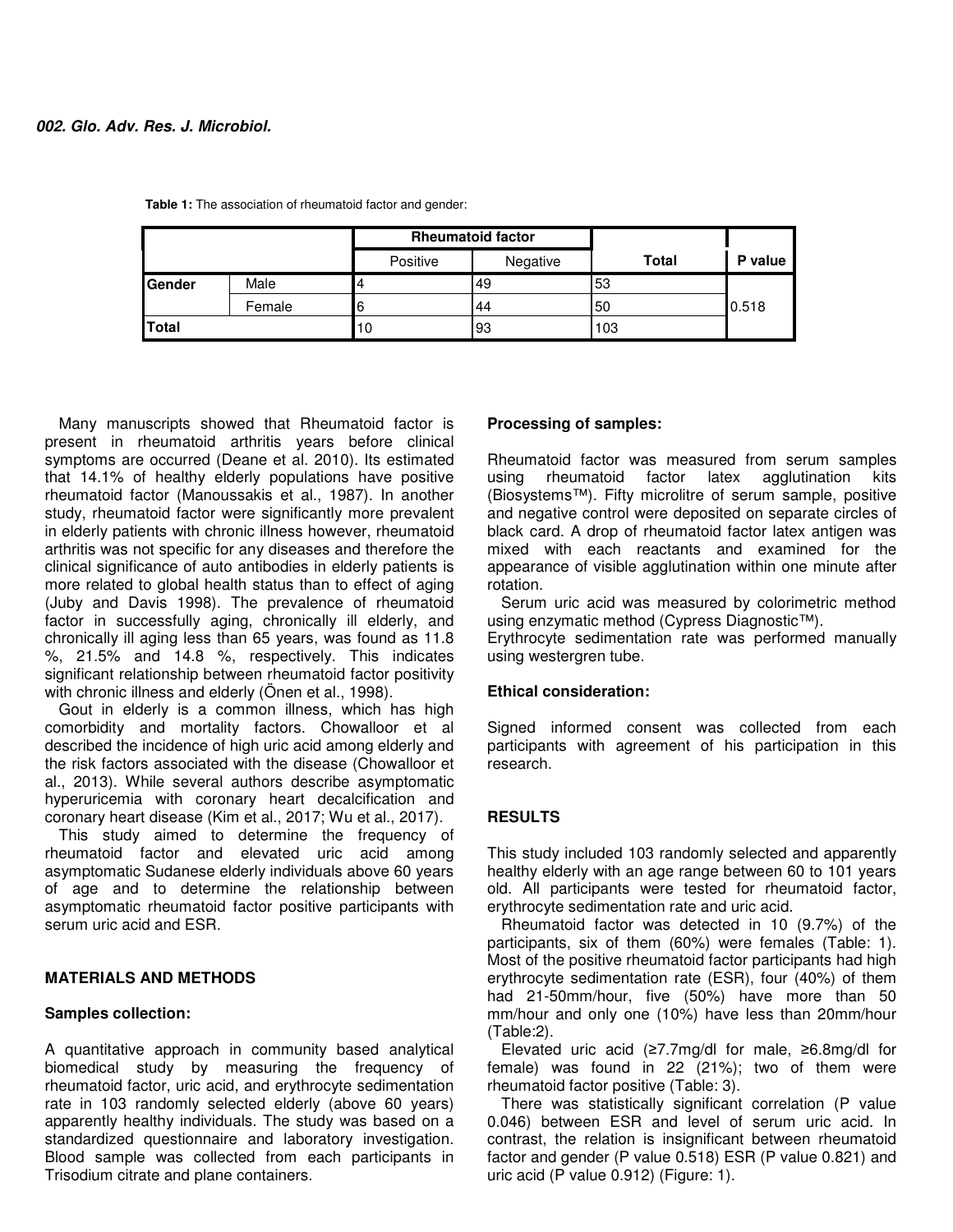|               |        | <b>Rheumatoid factor</b> |          |       |         |
|---------------|--------|--------------------------|----------|-------|---------|
|               |        | Positive                 | Negative | Total | P value |
| <b>Gender</b> | Male   | 4                        | 49       | 53    |         |
|               | Female | 6                        | 44       | 50    | 0.518   |
| Total         |        | 10                       | 93       | 103   |         |

**Table 1:** The association of rheumatoid factor and gender:

Many manuscripts showed that Rheumatoid factor is present in rheumatoid arthritis years before clinical symptoms are occurred (Deane et al. 2010). Its estimated that 14.1% of healthy elderly populations have positive rheumatoid factor (Manoussakis et al., 1987). In another study, rheumatoid factor were significantly more prevalent in elderly patients with chronic illness however, rheumatoid arthritis was not specific for any diseases and therefore the clinical significance of auto antibodies in elderly patients is more related to global health status than to effect of aging (Juby and Davis 1998). The prevalence of rheumatoid factor in successfully aging, chronically ill elderly, and chronically ill aging less than 65 years, was found as 11.8 %, 21.5% and 14.8 %, respectively. This indicates significant relationship between rheumatoid factor positivity with chronic illness and elderly (Önen et al., 1998).

Gout in elderly is a common illness, which has high comorbidity and mortality factors. Chowalloor et al described the incidence of high uric acid among elderly and the risk factors associated with the disease (Chowalloor et al., 2013). While several authors describe asymptomatic hyperuricemia with coronary heart decalcification and coronary heart disease (Kim et al., 2017; Wu et al., 2017).

This study aimed to determine the frequency of rheumatoid factor and elevated uric acid among asymptomatic Sudanese elderly individuals above 60 years of age and to determine the relationship between asymptomatic rheumatoid factor positive participants with serum uric acid and ESR.

#### **MATERIALS AND METHODS**

#### **Samples collection:**

A quantitative approach in community based analytical biomedical study by measuring the frequency of rheumatoid factor, uric acid, and erythrocyte sedimentation rate in 103 randomly selected elderly (above 60 years) apparently healthy individuals. The study was based on a standardized questionnaire and laboratory investigation. Blood sample was collected from each participants in Trisodium citrate and plane containers.

## **Processing of samples:**

Rheumatoid factor was measured from serum samples using rheumatoid factor latex agglutination kits (Biosystems™). Fifty microlitre of serum sample, positive and negative control were deposited on separate circles of black card. A drop of rheumatoid factor latex antigen was mixed with each reactants and examined for the appearance of visible agglutination within one minute after rotation.

Serum uric acid was measured by colorimetric method using enzymatic method (Cypress Diagnostic™).

Erythrocyte sedimentation rate was performed manually using westergren tube.

#### **Ethical consideration:**

Signed informed consent was collected from each participants with agreement of his participation in this research.

## **RESULTS**

This study included 103 randomly selected and apparently healthy elderly with an age range between 60 to 101 years old. All participants were tested for rheumatoid factor, erythrocyte sedimentation rate and uric acid.

Rheumatoid factor was detected in 10 (9.7%) of the participants, six of them (60%) were females (Table: 1). Most of the positive rheumatoid factor participants had high erythrocyte sedimentation rate (ESR), four (40%) of them had 21-50mm/hour, five (50%) have more than 50 mm/hour and only one (10%) have less than 20mm/hour (Table:2).

Elevated uric acid (≥7.7mg/dl for male, ≥6.8mg/dl for female) was found in 22 (21%); two of them were rheumatoid factor positive (Table: 3).

There was statistically significant correlation (P value 0.046) between ESR and level of serum uric acid. In contrast, the relation is insignificant between rheumatoid factor and gender (P value 0.518) ESR (P value 0.821) and uric acid (P value 0.912) (Figure: 1).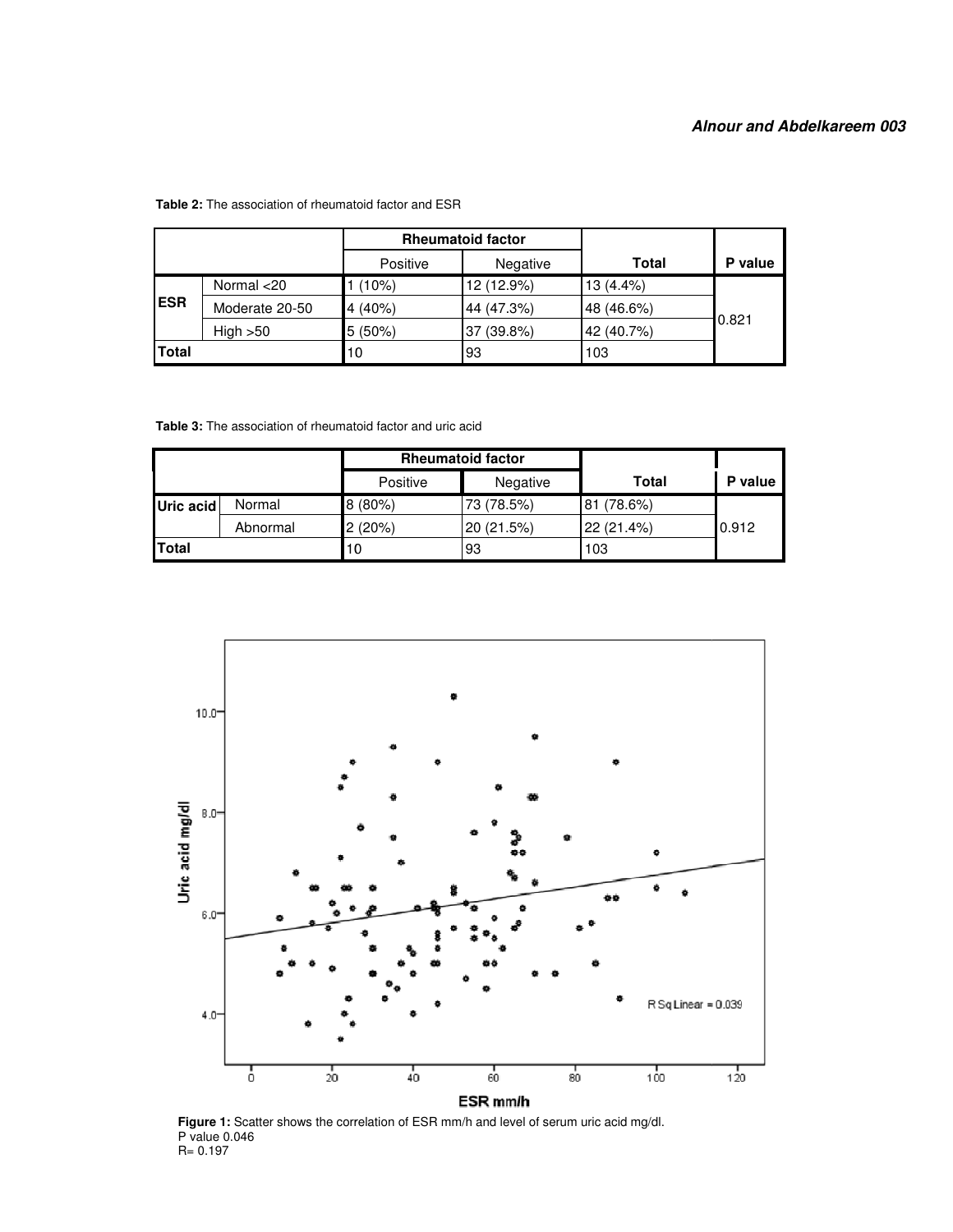|            |                | <b>Rheumatoid factor</b> |            |              |         |
|------------|----------------|--------------------------|------------|--------------|---------|
|            |                | Positive                 | Negative   | <b>Total</b> | P value |
| <b>ESR</b> | Normal <20     | (10%)                    | 12 (12.9%) | $13(4.4\%)$  | 0.821   |
|            | Moderate 20-50 | 4(40%)                   | 44 (47.3%) | 48 (46.6%)   |         |
|            | High > 50      | $5(50\%)$                | 37 (39.8%) | 42 (40.7%)   |         |
| Total      |                | 10                       | 93         | 103          |         |

#### **Table 2:** The association of rheumatoid factor and ESR

**Table 3:** The association of rheumatoid factor and uric acid

|           |          | <b>Rheumatoid factor</b> |            |              |         |
|-----------|----------|--------------------------|------------|--------------|---------|
|           |          | Positive                 | Negative   | <b>Total</b> | P value |
| Uric acid | Normal   | 8(80%)                   | 73 (78.5%) | 81 (78.6%)   |         |
|           | Abnormal | 2(20%)                   | 20 (21.5%) | 22 (21.4%)   | 0.912   |
| Total     |          | 10                       | 93         | 103          |         |



**Figure 1:** Scatter shows the correlation of ESR mm/h and level of serum uric acid mg/dl. P value 0.046 R= 0.197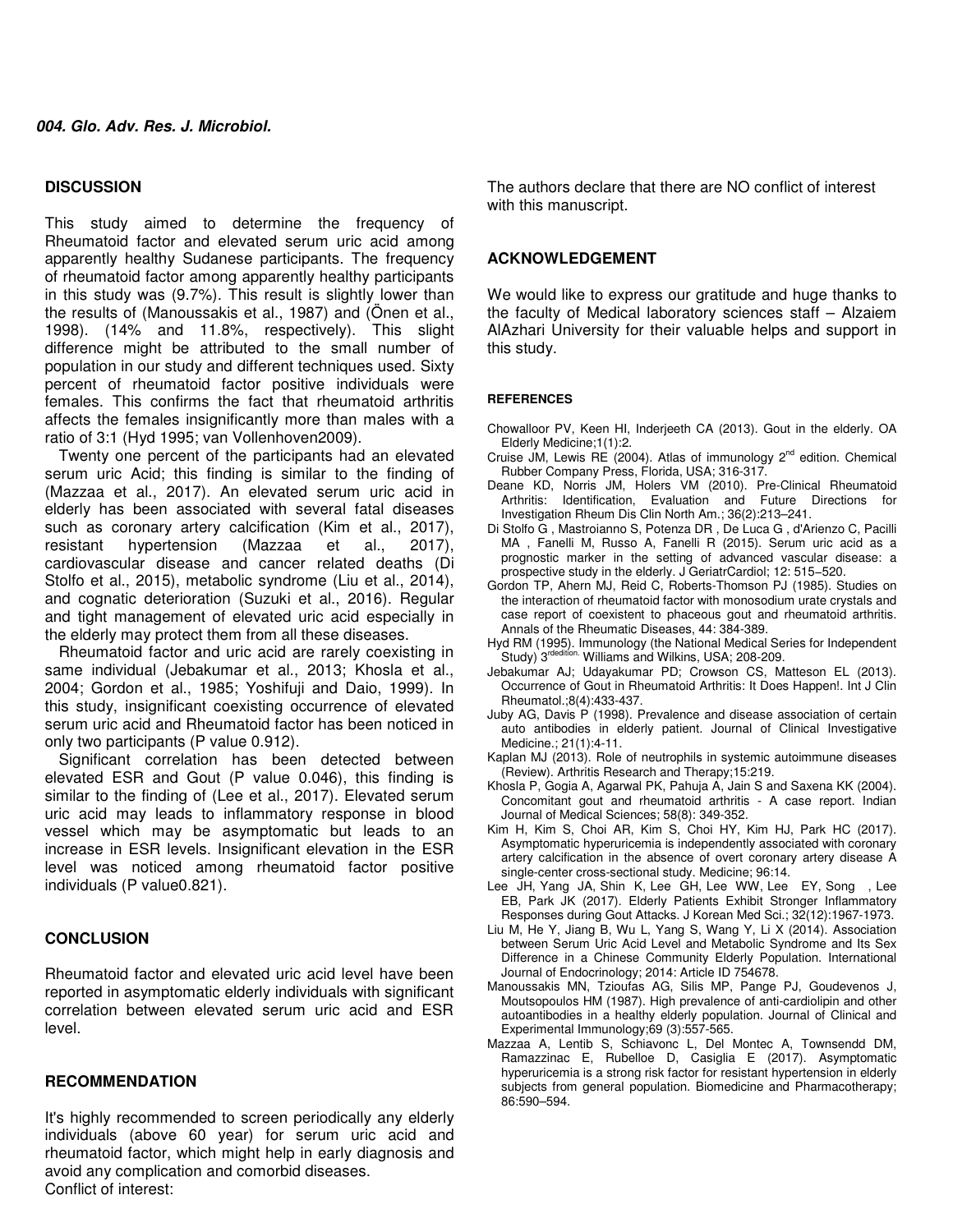#### **DISCUSSION**

This study aimed to determine the frequency of Rheumatoid factor and elevated serum uric acid among apparently healthy Sudanese participants. The frequency of rheumatoid factor among apparently healthy participants in this study was (9.7%). This result is slightly lower than the results of (Manoussakis et al., 1987) and (Önen et al., 1998). (14% and 11.8%, respectively). This slight difference might be attributed to the small number of population in our study and different techniques used. Sixty percent of rheumatoid factor positive individuals were females. This confirms the fact that rheumatoid arthritis affects the females insignificantly more than males with a ratio of 3:1 (Hyd 1995; van Vollenhoven2009).

Twenty one percent of the participants had an elevated serum uric Acid; this finding is similar to the finding of (Mazzaa et al., 2017). An elevated serum uric acid in elderly has been associated with several fatal diseases such as coronary artery calcification (Kim et al., 2017), resistant hypertension (Mazzaa et al., 2017), cardiovascular disease and cancer related deaths (Di Stolfo et al., 2015), metabolic syndrome (Liu et al., 2014), and cognatic deterioration (Suzuki et al., 2016). Regular and tight management of elevated uric acid especially in the elderly may protect them from all these diseases.

Rheumatoid factor and uric acid are rarely coexisting in same individual (Jebakumar et al., 2013; Khosla et al., 2004; Gordon et al., 1985; Yoshifuji and Daio, 1999). In this study, insignificant coexisting occurrence of elevated serum uric acid and Rheumatoid factor has been noticed in only two participants (P value 0.912).

Significant correlation has been detected between elevated ESR and Gout (P value 0.046), this finding is similar to the finding of (Lee et al., 2017). Elevated serum uric acid may leads to inflammatory response in blood vessel which may be asymptomatic but leads to an increase in ESR levels. Insignificant elevation in the ESR level was noticed among rheumatoid factor positive individuals (P value0.821).

#### **CONCLUSION**

Rheumatoid factor and elevated uric acid level have been reported in asymptomatic elderly individuals with significant correlation between elevated serum uric acid and ESR level.

#### **RECOMMENDATION**

It's highly recommended to screen periodically any elderly individuals (above 60 year) for serum uric acid and rheumatoid factor, which might help in early diagnosis and avoid any complication and comorbid diseases. Conflict of interest:

The authors declare that there are NO conflict of interest with this manuscript.

#### **ACKNOWLEDGEMENT**

We would like to express our gratitude and huge thanks to the faculty of Medical laboratory sciences staff – Alzaiem AlAzhari University for their valuable helps and support in this study.

#### **REFERENCES**

- Chowalloor PV, Keen HI, Inderjeeth CA (2013). Gout in the elderly. OA Elderly Medicine;1(1):2.
- Cruise JM, Lewis RE (2004). Atlas of immunology  $2^{nd}$  edition. Chemical Rubber Company Press, Florida, USA; 316-317.
- Deane KD, Norris JM, Holers VM (2010). Pre-Clinical Rheumatoid Arthritis: Identification, Evaluation and Future Directions for Investigation Rheum Dis Clin North Am.; 36(2):213-241.
- Di Stolfo G , Mastroianno S, Potenza DR , De Luca G , d'Arienzo C, Pacilli MA , Fanelli M, Russo A, Fanelli R (2015). Serum uric acid as a prognostic marker in the setting of advanced vascular disease: a prospective study in the elderly. J GeriatrCardiol; 12: 515−520.
- Gordon TP, Ahern MJ, Reid C, Roberts-Thomson PJ (1985). Studies on the interaction of rheumatoid factor with monosodium urate crystals and case report of coexistent to phaceous gout and rheumatoid arthritis. Annals of the Rheumatic Diseases, 44: 384-389.
- Hyd RM (1995). Immunology (the National Medical Series for Independent<br>Study) 3<sup>rdedition.</sup> Williams and Wilkins, USA; 208-209.
- Jebakumar AJ; Udayakumar PD; Crowson CS, Matteson EL (2013). Occurrence of Gout in Rheumatoid Arthritis: It Does Happen!. Int J Clin Rheumatol.;8(4):433-437.
- Juby AG, Davis P (1998). Prevalence and disease association of certain auto antibodies in elderly patient. Journal of Clinical Investigative Medicine.; 21(1):4-11.
- Kaplan MJ (2013). Role of neutrophils in systemic autoimmune diseases (Review). Arthritis Research and Therapy;15:219.
- Khosla P, Gogia A, Agarwal PK, Pahuja A, Jain S and Saxena KK (2004). Concomitant gout and rheumatoid arthritis - A case report. Indian Journal of Medical Sciences; 58(8): 349-352.
- Kim H, Kim S, Choi AR, Kim S, Choi HY, Kim HJ, Park HC (2017). Asymptomatic hyperuricemia is independently associated with coronary artery calcification in the absence of overt coronary artery disease A single-center cross-sectional study. Medicine; 96:14.
- Lee JH, Yang JA, Shin K, Lee GH, Lee WW, Lee EY, Song , Lee EB, Park JK (2017). Elderly Patients Exhibit Stronger Inflammatory Responses during Gout Attacks. J Korean Med Sci.; 32(12):1967-1973.
- Liu M, He Y, Jiang B, Wu L, Yang S, Wang Y, Li X (2014). Association between Serum Uric Acid Level and Metabolic Syndrome and Its Sex Difference in a Chinese Community Elderly Population. International Journal of Endocrinology; 2014: Article ID 754678.
- Manoussakis MN, Tzioufas AG, Silis MP, Pange PJ, Goudevenos J, Moutsopoulos HM (1987). High prevalence of anti-cardiolipin and other autoantibodies in a healthy elderly population. Journal of Clinical and Experimental Immunology;69 (3):557-565.
- Mazzaa A, Lentib S, Schiavonc L, Del Montec A, Townsendd DM, Ramazzinac E, Rubelloe D, Casiglia E (2017). Asymptomatic hyperuricemia is a strong risk factor for resistant hypertension in elderly subjects from general population. Biomedicine and Pharmacotherapy; 86:590–594.